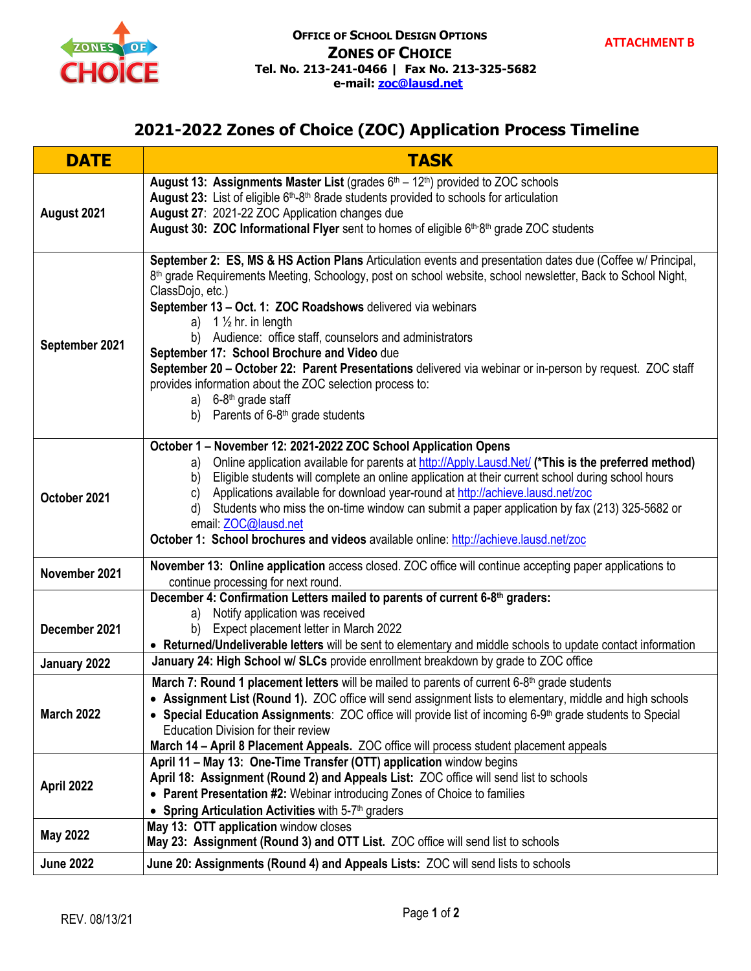

## **2021-2022 Zones of Choice (ZOC) Application Process Timeline**

| <b>DATE</b>       | <b>TASK</b>                                                                                                                                                                                                                                                                                                                                                                                                                                                                                                                                                                                                                                                                                                                                  |
|-------------------|----------------------------------------------------------------------------------------------------------------------------------------------------------------------------------------------------------------------------------------------------------------------------------------------------------------------------------------------------------------------------------------------------------------------------------------------------------------------------------------------------------------------------------------------------------------------------------------------------------------------------------------------------------------------------------------------------------------------------------------------|
| August 2021       | August 13: Assignments Master List (grades $6th - 12th$ ) provided to ZOC schools<br>August 23: List of eligible 6 <sup>th</sup> -8 <sup>th</sup> 8rade students provided to schools for articulation<br>August 27: 2021-22 ZOC Application changes due<br>August 30: ZOC Informational Flyer sent to homes of eligible 6th-8th grade ZOC students                                                                                                                                                                                                                                                                                                                                                                                           |
| September 2021    | September 2: ES, MS & HS Action Plans Articulation events and presentation dates due (Coffee w/ Principal,<br>8 <sup>th</sup> grade Requirements Meeting, Schoology, post on school website, school newsletter, Back to School Night,<br>ClassDojo, etc.)<br>September 13 - Oct. 1: ZOC Roadshows delivered via webinars<br>a) $1\frac{1}{2}$ hr. in length<br>Audience: office staff, counselors and administrators<br>b)<br>September 17: School Brochure and Video due<br>September 20 - October 22: Parent Presentations delivered via webinar or in-person by request. ZOC staff<br>provides information about the ZOC selection process to:<br>a) $6-8$ <sup>th</sup> grade staff<br>Parents of 6-8 <sup>th</sup> grade students<br>b) |
| October 2021      | October 1 - November 12: 2021-2022 ZOC School Application Opens<br>Online application available for parents at http://Apply.Lausd.Net/ (*This is the preferred method)<br>a)<br>Eligible students will complete an online application at their current school during school hours<br>b)<br>Applications available for download year-round at http://achieve.lausd.net/zoc<br>C)<br>Students who miss the on-time window can submit a paper application by fax (213) 325-5682 or<br>d)<br>email: ZOC@lausd.net<br>October 1: School brochures and videos available online: http://achieve.lausd.net/zoc                                                                                                                                       |
| November 2021     | November 13: Online application access closed. ZOC office will continue accepting paper applications to<br>continue processing for next round.                                                                                                                                                                                                                                                                                                                                                                                                                                                                                                                                                                                               |
| December 2021     | December 4: Confirmation Letters mailed to parents of current 6-8 <sup>th</sup> graders:<br>Notify application was received<br>a)<br>Expect placement letter in March 2022<br>b)<br>• Returned/Undeliverable letters will be sent to elementary and middle schools to update contact information                                                                                                                                                                                                                                                                                                                                                                                                                                             |
| January 2022      | January 24: High School w/ SLCs provide enrollment breakdown by grade to ZOC office                                                                                                                                                                                                                                                                                                                                                                                                                                                                                                                                                                                                                                                          |
| <b>March 2022</b> | March 7: Round 1 placement letters will be mailed to parents of current 6-8 <sup>th</sup> grade students<br>• Assignment List (Round 1). ZOC office will send assignment lists to elementary, middle and high schools<br>• Special Education Assignments: ZOC office will provide list of incoming 6-9 <sup>th</sup> grade students to Special<br>Education Division for their review<br>March 14 - April 8 Placement Appeals. ZOC office will process student placement appeals                                                                                                                                                                                                                                                             |
| April 2022        | April 11 - May 13: One-Time Transfer (OTT) application window begins<br>April 18: Assignment (Round 2) and Appeals List: ZOC office will send list to schools<br>• Parent Presentation #2: Webinar introducing Zones of Choice to families<br>• Spring Articulation Activities with 5-7th graders                                                                                                                                                                                                                                                                                                                                                                                                                                            |
| <b>May 2022</b>   | May 13: OTT application window closes<br>May 23: Assignment (Round 3) and OTT List. ZOC office will send list to schools                                                                                                                                                                                                                                                                                                                                                                                                                                                                                                                                                                                                                     |
| <b>June 2022</b>  | June 20: Assignments (Round 4) and Appeals Lists: ZOC will send lists to schools                                                                                                                                                                                                                                                                                                                                                                                                                                                                                                                                                                                                                                                             |